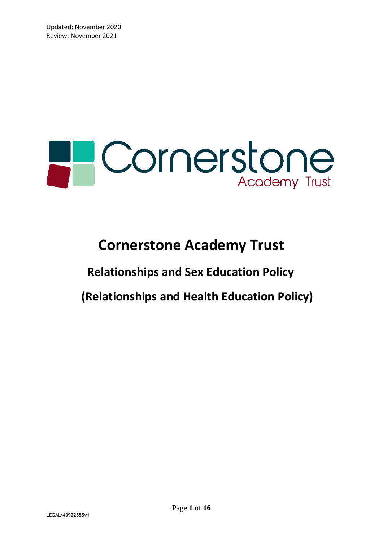# **PCornerstone**

### **Cornerstone Academy Trust**

## **Relationships and Sex Education Policy**

 **(Relationships and Health Education Policy)**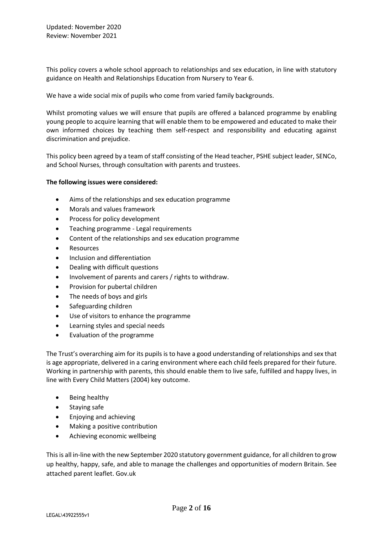This policy covers a whole school approach to relationships and sex education, in line with statutory guidance on Health and Relationships Education from Nursery to Year 6.

We have a wide social mix of pupils who come from varied family backgrounds.

Whilst promoting values we will ensure that pupils are offered a balanced programme by enabling young people to acquire learning that will enable them to be empowered and educated to make their own informed choices by teaching them self-respect and responsibility and educating against discrimination and prejudice.

This policy been agreed by a team of staff consisting of the Head teacher, PSHE subject leader, SENCo, and School Nurses, through consultation with parents and trustees.

#### **The following issues were considered:**

- Aims of the relationships and sex education programme
- Morals and values framework
- Process for policy development
- Teaching programme Legal requirements
- Content of the relationships and sex education programme
- Resources
- Inclusion and differentiation
- Dealing with difficult questions
- Involvement of parents and carers / rights to withdraw.
- Provision for pubertal children
- The needs of boys and girls
- Safeguarding children
- Use of visitors to enhance the programme
- Learning styles and special needs
- Evaluation of the programme

The Trust's overarching aim for its pupils is to have a good understanding of relationships and sex that is age appropriate, delivered in a caring environment where each child feels prepared for their future. Working in partnership with parents, this should enable them to live safe, fulfilled and happy lives, in line with Every Child Matters (2004) key outcome.

- Being healthy
- Staying safe
- Enjoying and achieving
- Making a positive contribution
- Achieving economic wellbeing

This is all in-line with the new September 2020 statutory government guidance, for all children to grow up healthy, happy, safe, and able to manage the challenges and opportunities of modern Britain. See attached parent leaflet. Gov.uk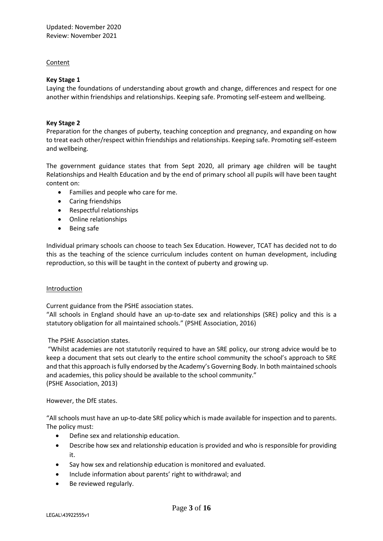#### Content

#### **Key Stage 1**

Laying the foundations of understanding about growth and change, differences and respect for one another within friendships and relationships. Keeping safe. Promoting self-esteem and wellbeing.

#### **Key Stage 2**

Preparation for the changes of puberty, teaching conception and pregnancy, and expanding on how to treat each other/respect within friendships and relationships. Keeping safe. Promoting self-esteem and wellbeing.

The government guidance states that from Sept 2020, all primary age children will be taught Relationships and Health Education and by the end of primary school all pupils will have been taught content on:

- Families and people who care for me.
- Caring friendships
- Respectful relationships
- Online relationships
- Being safe

Individual primary schools can choose to teach Sex Education. However, TCAT has decided not to do this as the teaching of the science curriculum includes content on human development, including reproduction, so this will be taught in the context of puberty and growing up.

#### Introduction

Current guidance from the PSHE association states.

"All schools in England should have an up-to-date sex and relationships (SRE) policy and this is a statutory obligation for all maintained schools." (PSHE Association, 2016)

#### The PSHE Association states.

"Whilst academies are not statutorily required to have an SRE policy, our strong advice would be to keep a document that sets out clearly to the entire school community the school's approach to SRE and that this approach is fully endorsed by the Academy's Governing Body. In both maintained schools and academies, this policy should be available to the school community." (PSHE Association, 2013)

#### However, the DfE states.

"All schools must have an up-to-date SRE policy which is made available for inspection and to parents. The policy must:

- Define sex and relationship education.
- Describe how sex and relationship education is provided and who is responsible for providing it.
- Say how sex and relationship education is monitored and evaluated.
- Include information about parents' right to withdrawal; and
- Be reviewed regularly.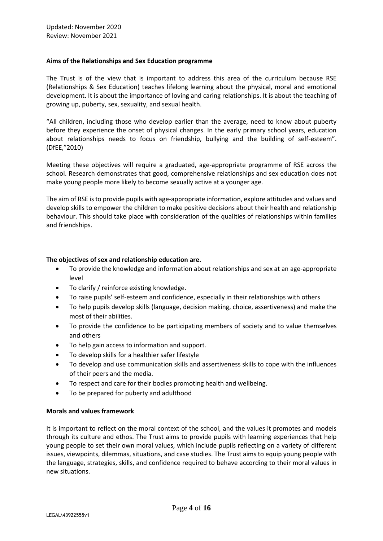#### **Aims of the Relationships and Sex Education programme**

The Trust is of the view that is important to address this area of the curriculum because RSE (Relationships & Sex Education) teaches lifelong learning about the physical, moral and emotional development. It is about the importance of loving and caring relationships. It is about the teaching of growing up, puberty, sex, sexuality, and sexual health.

"All children, including those who develop earlier than the average, need to know about puberty before they experience the onset of physical changes. In the early primary school years, education about relationships needs to focus on friendship, bullying and the building of self-esteem". (DfEE,"2010)

Meeting these objectives will require a graduated, age-appropriate programme of RSE across the school. Research demonstrates that good, comprehensive relationships and sex education does not make young people more likely to become sexually active at a younger age.

The aim of RSE is to provide pupils with age-appropriate information, explore attitudes and values and develop skills to empower the children to make positive decisions about their health and relationship behaviour. This should take place with consideration of the qualities of relationships within families and friendships.

#### **The objectives of sex and relationship education are.**

- To provide the knowledge and information about relationships and sex at an age-appropriate level
- To clarify / reinforce existing knowledge.
- To raise pupils' self-esteem and confidence, especially in their relationships with others
- To help pupils develop skills (language, decision making, choice, assertiveness) and make the most of their abilities.
- To provide the confidence to be participating members of society and to value themselves and others
- To help gain access to information and support.
- To develop skills for a healthier safer lifestyle
- To develop and use communication skills and assertiveness skills to cope with the influences of their peers and the media.
- To respect and care for their bodies promoting health and wellbeing.
- To be prepared for puberty and adulthood

#### **Morals and values framework**

It is important to reflect on the moral context of the school, and the values it promotes and models through its culture and ethos. The Trust aims to provide pupils with learning experiences that help young people to set their own moral values, which include pupils reflecting on a variety of different issues, viewpoints, dilemmas, situations, and case studies. The Trust aims to equip young people with the language, strategies, skills, and confidence required to behave according to their moral values in new situations.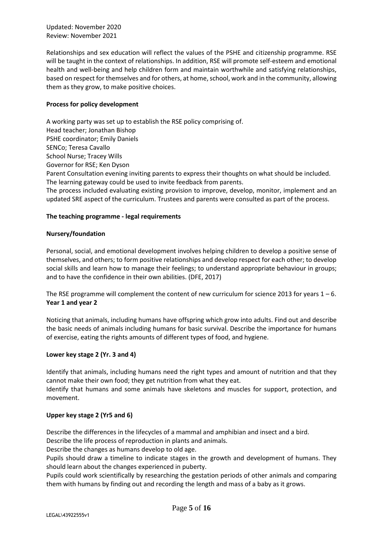Relationships and sex education will reflect the values of the PSHE and citizenship programme. RSE will be taught in the context of relationships. In addition, RSE will promote self-esteem and emotional health and well-being and help children form and maintain worthwhile and satisfying relationships, based on respect for themselves and for others, at home, school, work and in the community, allowing them as they grow, to make positive choices.

#### **Process for policy development**

A working party was set up to establish the RSE policy comprising of. Head teacher; Jonathan Bishop PSHE coordinator; Emily Daniels SENCo; Teresa Cavallo School Nurse; Tracey Wills Governor for RSE; Ken Dyson Parent Consultation evening inviting parents to express their thoughts on what should be included.

The learning gateway could be used to invite feedback from parents.

The process included evaluating existing provision to improve, develop, monitor, implement and an updated SRE aspect of the curriculum. Trustees and parents were consulted as part of the process.

#### **The teaching programme - legal requirements**

#### **Nursery/foundation**

Personal, social, and emotional development involves helping children to develop a positive sense of themselves, and others; to form positive relationships and develop respect for each other; to develop social skills and learn how to manage their feelings; to understand appropriate behaviour in groups; and to have the confidence in their own abilities. (DFE, 2017)

The RSE programme will complement the content of new curriculum for science 2013 for years  $1 - 6$ . **Year 1 and year 2**

Noticing that animals, including humans have offspring which grow into adults. Find out and describe the basic needs of animals including humans for basic survival. Describe the importance for humans of exercise, eating the rights amounts of different types of food, and hygiene.

#### **Lower key stage 2 (Yr. 3 and 4)**

Identify that animals, including humans need the right types and amount of nutrition and that they cannot make their own food; they get nutrition from what they eat.

Identify that humans and some animals have skeletons and muscles for support, protection, and movement.

#### **Upper key stage 2 (Yr5 and 6)**

Describe the differences in the lifecycles of a mammal and amphibian and insect and a bird.

Describe the life process of reproduction in plants and animals.

Describe the changes as humans develop to old age.

Pupils should draw a timeline to indicate stages in the growth and development of humans. They should learn about the changes experienced in puberty.

Pupils could work scientifically by researching the gestation periods of other animals and comparing them with humans by finding out and recording the length and mass of a baby as it grows.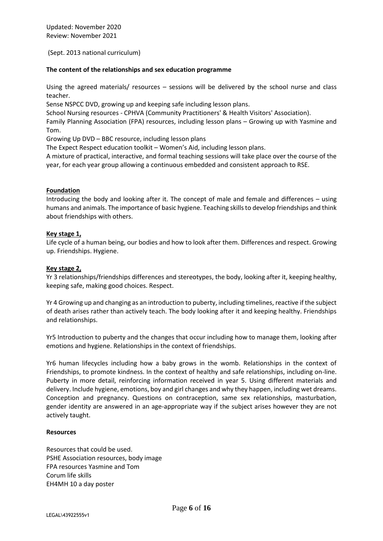(Sept. 2013 national curriculum)

#### **The content of the relationships and sex education programme**

Using the agreed materials/ resources – sessions will be delivered by the school nurse and class teacher.

Sense NSPCC DVD, growing up and keeping safe including lesson plans.

School Nursing resources - CPHVA (Community Practitioners' & Health Visitors' Association).

Family Planning Association (FPA) resources, including lesson plans – Growing up with Yasmine and Tom.

Growing Up DVD – BBC resource, including lesson plans

The Expect Respect education toolkit – Women's Aid, including lesson plans.

A mixture of practical, interactive, and formal teaching sessions will take place over the course of the year, for each year group allowing a continuous embedded and consistent approach to RSE.

#### **Foundation**

Introducing the body and looking after it. The concept of male and female and differences – using humans and animals. The importance of basic hygiene. Teaching skills to develop friendships and think about friendships with others.

#### **Key stage 1,**

Life cycle of a human being, our bodies and how to look after them. Differences and respect. Growing up. Friendships. Hygiene.

#### **Key stage 2,**

Yr 3 relationships/friendships differences and stereotypes, the body, looking after it, keeping healthy, keeping safe, making good choices. Respect.

Yr 4 Growing up and changing as an introduction to puberty, including timelines, reactive if the subject of death arises rather than actively teach. The body looking after it and keeping healthy. Friendships and relationships.

Yr5 Introduction to puberty and the changes that occur including how to manage them, looking after emotions and hygiene. Relationships in the context of friendships.

Yr6 human lifecycles including how a baby grows in the womb. Relationships in the context of Friendships, to promote kindness. In the context of healthy and safe relationships, including on-line. Puberty in more detail, reinforcing information received in year 5. Using different materials and delivery. Include hygiene, emotions, boy and girl changes and why they happen, including wet dreams. Conception and pregnancy. Questions on contraception, same sex relationships, masturbation, gender identity are answered in an age-appropriate way if the subject arises however they are not actively taught.

#### **Resources**

Resources that could be used. PSHE Association resources, body image FPA resources Yasmine and Tom Corum life skills EH4MH 10 a day poster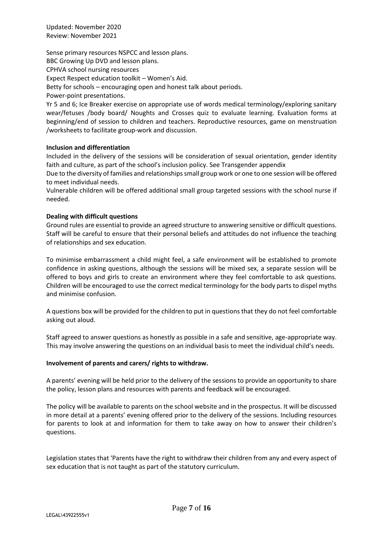Sense primary resources NSPCC and lesson plans. BBC Growing Up DVD and lesson plans. CPHVA school nursing resources Expect Respect education toolkit – Women's Aid. Betty for schools – encouraging open and honest talk about periods. Power-point presentations. Yr 5 and 6; Ice Breaker exercise on appropriate use of words medical terminology/exploring sanitary

wear/fetuses /body board/ Noughts and Crosses quiz to evaluate learning. Evaluation forms at beginning/end of session to children and teachers. Reproductive resources, game on menstruation /worksheets to facilitate group-work and discussion.

#### **Inclusion and differentiation**

Included in the delivery of the sessions will be consideration of sexual orientation, gender identity faith and culture, as part of the school's inclusion policy. See Transgender appendix

Due to the diversity of families and relationships small group work or one to one session will be offered to meet individual needs.

Vulnerable children will be offered additional small group targeted sessions with the school nurse if needed.

#### **Dealing with difficult questions**

Ground rules are essential to provide an agreed structure to answering sensitive or difficult questions. Staff will be careful to ensure that their personal beliefs and attitudes do not influence the teaching of relationships and sex education.

To minimise embarrassment a child might feel, a safe environment will be established to promote confidence in asking questions, although the sessions will be mixed sex, a separate session will be offered to boys and girls to create an environment where they feel comfortable to ask questions. Children will be encouraged to use the correct medical terminology for the body parts to dispel myths and minimise confusion.

A questions box will be provided for the children to put in questions that they do not feel comfortable asking out aloud.

Staff agreed to answer questions as honestly as possible in a safe and sensitive, age-appropriate way. This may involve answering the questions on an individual basis to meet the individual child's needs.

#### **Involvement of parents and carers/ rights to withdraw.**

A parents' evening will be held prior to the delivery of the sessions to provide an opportunity to share the policy, lesson plans and resources with parents and feedback will be encouraged.

The policy will be available to parents on the school website and in the prospectus. It will be discussed in more detail at a parents' evening offered prior to the delivery of the sessions. Including resources for parents to look at and information for them to take away on how to answer their children's questions.

Legislation states that 'Parents have the right to withdraw their children from any and every aspect of sex education that is not taught as part of the statutory curriculum.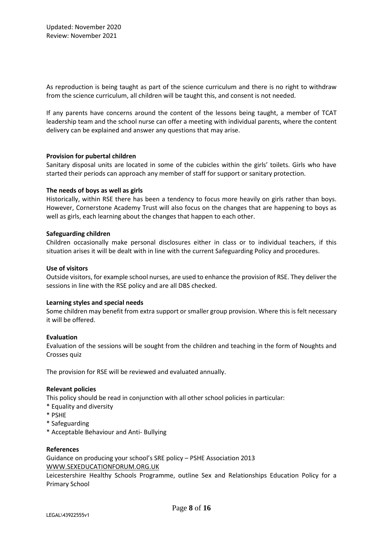As reproduction is being taught as part of the science curriculum and there is no right to withdraw from the science curriculum, all children will be taught this, and consent is not needed.

If any parents have concerns around the content of the lessons being taught, a member of TCAT leadership team and the school nurse can offer a meeting with individual parents, where the content delivery can be explained and answer any questions that may arise.

#### **Provision for pubertal children**

Sanitary disposal units are located in some of the cubicles within the girls' toilets. Girls who have started their periods can approach any member of staff for support or sanitary protection.

#### **The needs of boys as well as girls**

Historically, within RSE there has been a tendency to focus more heavily on girls rather than boys. However, Cornerstone Academy Trust will also focus on the changes that are happening to boys as well as girls, each learning about the changes that happen to each other.

#### **Safeguarding children**

Children occasionally make personal disclosures either in class or to individual teachers, if this situation arises it will be dealt with in line with the current Safeguarding Policy and procedures.

#### **Use of visitors**

Outside visitors, for example school nurses, are used to enhance the provision of RSE. They deliver the sessions in line with the RSE policy and are all DBS checked.

#### **Learning styles and special needs**

Some children may benefit from extra support or smaller group provision. Where this is felt necessary it will be offered.

#### **Evaluation**

Evaluation of the sessions will be sought from the children and teaching in the form of Noughts and Crosses quiz

The provision for RSE will be reviewed and evaluated annually.

#### **Relevant policies**

This policy should be read in conjunction with all other school policies in particular:

- \* Equality and diversity
- \* PSHE
- \* Safeguarding
- \* Acceptable Behaviour and Anti- Bullying

#### **References**

Guidance on producing your school's SRE policy – PSHE Association 2013 [WWW.SEXEDUCATIONFORUM.ORG.UK](http://www.sexeducationforum.org.uk/)

Leicestershire Healthy Schools Programme, outline Sex and Relationships Education Policy for a Primary School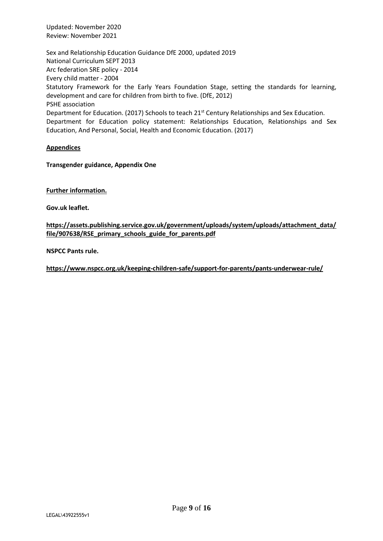Sex and Relationship Education Guidance DfE 2000, updated 2019 National Curriculum SEPT 2013 Arc federation SRE policy - 2014 Every child matter - 2004 Statutory Framework for the Early Years Foundation Stage, setting the standards for learning, development and care for children from birth to five. (DfE, 2012) PSHE association Department for Education. (2017) Schools to teach 21<sup>st</sup> Century Relationships and Sex Education. Department for Education policy statement: Relationships Education, Relationships and Sex Education, And Personal, Social, Health and Economic Education. (2017)

#### **Appendices**

**Transgender guidance, Appendix One** 

**Further information.**

**Gov.uk leaflet.**

**[https://assets.publishing.service.gov.uk/government/uploads/system/uploads/attachment\\_data/](https://assets.publishing.service.gov.uk/government/uploads/system/uploads/attachment_data/file/907638/RSE_primary_schools_guide_for_parents.pdf) [file/907638/RSE\\_primary\\_schools\\_guide\\_for\\_parents.pdf](https://assets.publishing.service.gov.uk/government/uploads/system/uploads/attachment_data/file/907638/RSE_primary_schools_guide_for_parents.pdf)**

**NSPCC Pants rule.**

**<https://www.nspcc.org.uk/keeping-children-safe/support-for-parents/pants-underwear-rule/>**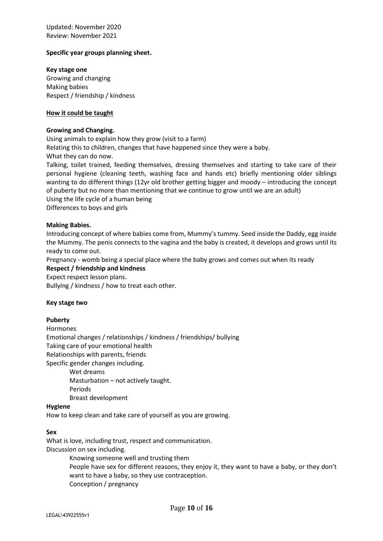#### **Specific year groups planning sheet.**

**Key stage one** Growing and changing Making babies Respect / friendship / kindness

#### **How it could be taught**

#### **Growing and Changing.**

Using animals to explain how they grow (visit to a farm) Relating this to children, changes that have happened since they were a baby. What they can do now. Talking, toilet trained, feeding themselves, dressing themselves and starting to take care of their personal hygiene (cleaning teeth, washing face and hands etc) briefly mentioning older siblings wanting to do different things (12yr old brother getting bigger and moody – introducing the concept of puberty but no more than mentioning that we continue to grow until we are an adult) Using the life cycle of a human being

Differences to boys and girls

#### **Making Babies.**

Introducing concept of where babies come from, Mummy's tummy. Seed inside the Daddy, egg inside the Mummy. The penis connects to the vagina and the baby is created, it develops and grows until its ready to come out.

Pregnancy - womb being a special place where the baby grows and comes out when its ready **Respect / friendship and kindness**

Expect respect lesson plans.

Bullying / kindness / how to treat each other.

#### **Key stage two**

#### **Puberty**

Hormones Emotional changes / relationships / kindness / friendships/ bullying Taking care of your emotional health Relationships with parents, friends Specific gender changes including. Wet dreams

Masturbation – not actively taught.

Periods

Breast development

#### **Hygiene**

How to keep clean and take care of yourself as you are growing.

#### **Sex**

What is love, including trust, respect and communication. Discussion on sex including.

> Knowing someone well and trusting them People have sex for different reasons, they enjoy it, they want to have a baby, or they don't want to have a baby, so they use contraception. Conception / pregnancy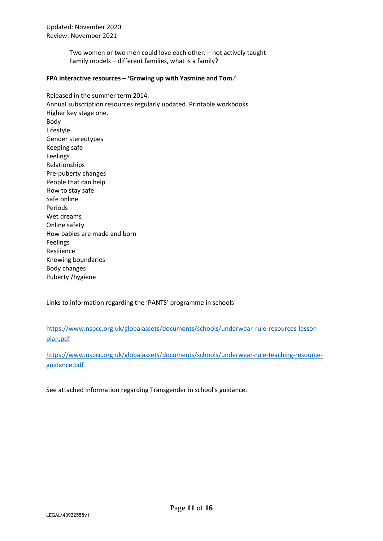> Two women or two men could love each other. – not actively taught Family models – different families, what is a family?

#### **FPA interactive resources – 'Growing up with Yasmine and Tom.'**

Released in the summer term 2014. Annual subscription resources regularly updated. Printable workbooks Higher key stage one. Body Lifestyle Gender stereotypes Keeping safe Feelings Relationships Pre-puberty changes People that can help How to stay safe Safe online Periods Wet dreams Online safety How babies are made and born Feelings Resilience Knowing boundaries Body changes Puberty /hygiene

Links to information regarding the 'PANTS' programme in schools

[https://www.nspcc.org.uk/globalassets/documents/schools/underwear-rule-resources-lesson](https://www.nspcc.org.uk/globalassets/documents/schools/underwear-rule-resources-lesson-plan.pdf)[plan.pdf](https://www.nspcc.org.uk/globalassets/documents/schools/underwear-rule-resources-lesson-plan.pdf)

[https://www.nspcc.org.uk/globalassets/documents/schools/underwear-rule-teaching-resource](https://www.nspcc.org.uk/globalassets/documents/schools/underwear-rule-teaching-resource-guidance.pdf)[guidance.pdf](https://www.nspcc.org.uk/globalassets/documents/schools/underwear-rule-teaching-resource-guidance.pdf)

See attached information regarding Transgender in school's guidance.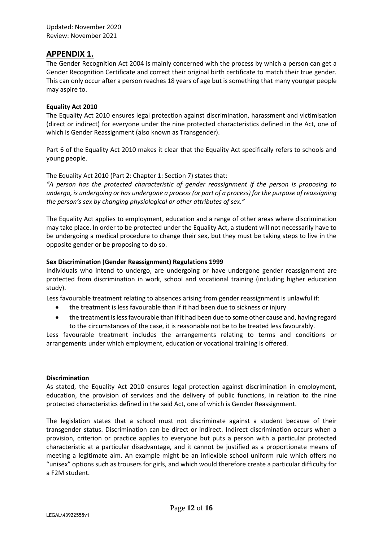#### **APPENDIX 1.**

The Gender Recognition Act 2004 is mainly concerned with the process by which a person can get a Gender Recognition Certificate and correct their original birth certificate to match their true gender. This can only occur after a person reaches 18 years of age but is something that many younger people may aspire to.

#### **Equality Act 2010**

The Equality Act 2010 ensures legal protection against discrimination, harassment and victimisation (direct or indirect) for everyone under the nine protected characteristics defined in the Act, one of which is Gender Reassignment (also known as Transgender).

Part 6 of the Equality Act 2010 makes it clear that the Equality Act specifically refers to schools and young people.

#### The Equality Act 2010 (Part 2: Chapter 1: Section 7) states that:

*"A person has the protected characteristic of gender reassignment if the person is proposing to undergo, is undergoing or has undergone a process (or part of a process) for the purpose of reassigning the person's sex by changing physiological or other attributes of sex."* 

The Equality Act applies to employment, education and a range of other areas where discrimination may take place. In order to be protected under the Equality Act, a student will not necessarily have to be undergoing a medical procedure to change their sex, but they must be taking steps to live in the opposite gender or be proposing to do so.

#### **Sex Discrimination (Gender Reassignment) Regulations 1999**

Individuals who intend to undergo, are undergoing or have undergone gender reassignment are protected from discrimination in work, school and vocational training (including higher education study).

Less favourable treatment relating to absences arising from gender reassignment is unlawful if:

- the treatment is less favourable than if it had been due to sickness or injury
- the treatment is less favourable than if it had been due to some other cause and, having regard to the circumstances of the case, it is reasonable not be to be treated less favourably.

Less favourable treatment includes the arrangements relating to terms and conditions or arrangements under which employment, education or vocational training is offered.

#### **Discrimination**

As stated, the Equality Act 2010 ensures legal protection against discrimination in employment, education, the provision of services and the delivery of public functions, in relation to the nine protected characteristics defined in the said Act, one of which is Gender Reassignment.

The legislation states that a school must not discriminate against a student because of their transgender status. Discrimination can be direct or indirect. Indirect discrimination occurs when a provision, criterion or practice applies to everyone but puts a person with a particular protected characteristic at a particular disadvantage, and it cannot be justified as a proportionate means of meeting a legitimate aim. An example might be an inflexible school uniform rule which offers no "unisex" options such as trousers for girls, and which would therefore create a particular difficulty for a F2M student.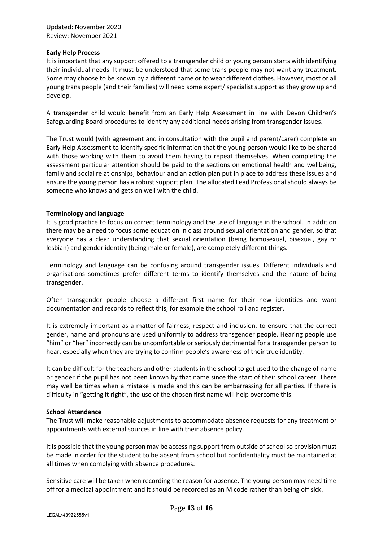#### **Early Help Process**

It is important that any support offered to a transgender child or young person starts with identifying their individual needs. It must be understood that some trans people may not want any treatment. Some may choose to be known by a different name or to wear different clothes. However, most or all young trans people (and their families) will need some expert/ specialist support as they grow up and develop.

A transgender child would benefit from an Early Help Assessment in line with Devon Children's Safeguarding Board procedures to identify any additional needs arising from transgender issues.

The Trust would (with agreement and in consultation with the pupil and parent/carer) complete an Early Help Assessment to identify specific information that the young person would like to be shared with those working with them to avoid them having to repeat themselves. When completing the assessment particular attention should be paid to the sections on emotional health and wellbeing, family and social relationships, behaviour and an action plan put in place to address these issues and ensure the young person has a robust support plan. The allocated Lead Professional should always be someone who knows and gets on well with the child.

#### **Terminology and language**

It is good practice to focus on correct terminology and the use of language in the school. In addition there may be a need to focus some education in class around sexual orientation and gender, so that everyone has a clear understanding that sexual orientation (being homosexual, bisexual, gay or lesbian) and gender identity (being male or female), are completely different things.

Terminology and language can be confusing around transgender issues. Different individuals and organisations sometimes prefer different terms to identify themselves and the nature of being transgender.

Often transgender people choose a different first name for their new identities and want documentation and records to reflect this, for example the school roll and register.

It is extremely important as a matter of fairness, respect and inclusion, to ensure that the correct gender, name and pronouns are used uniformly to address transgender people. Hearing people use "him" or "her" incorrectly can be uncomfortable or seriously detrimental for a transgender person to hear, especially when they are trying to confirm people's awareness of their true identity.

It can be difficult for the teachers and other students in the school to get used to the change of name or gender if the pupil has not been known by that name since the start of their school career. There may well be times when a mistake is made and this can be embarrassing for all parties. If there is difficulty in "getting it right", the use of the chosen first name will help overcome this.

#### **School Attendance**

The Trust will make reasonable adjustments to accommodate absence requests for any treatment or appointments with external sources in line with their absence policy.

It is possible that the young person may be accessing support from outside of school so provision must be made in order for the student to be absent from school but confidentiality must be maintained at all times when complying with absence procedures.

Sensitive care will be taken when recording the reason for absence. The young person may need time off for a medical appointment and it should be recorded as an M code rather than being off sick.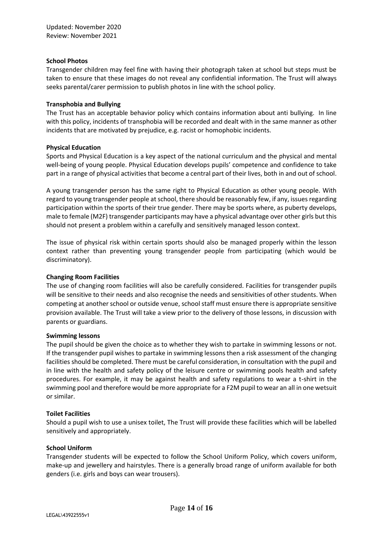#### **School Photos**

Transgender children may feel fine with having their photograph taken at school but steps must be taken to ensure that these images do not reveal any confidential information. The Trust will always seeks parental/carer permission to publish photos in line with the school policy.

#### **Transphobia and Bullying**

The Trust has an acceptable behavior policy which contains information about anti bullying. In line with this policy, incidents of transphobia will be recorded and dealt with in the same manner as other incidents that are motivated by prejudice, e.g. racist or homophobic incidents.

#### **Physical Education**

Sports and Physical Education is a key aspect of the national curriculum and the physical and mental well-being of young people. Physical Education develops pupils' competence and confidence to take part in a range of physical activities that become a central part of their lives, both in and out of school.

A young transgender person has the same right to Physical Education as other young people. With regard to young transgender people at school, there should be reasonably few, if any, issues regarding participation within the sports of their true gender. There may be sports where, as puberty develops, male to female (M2F) transgender participants may have a physical advantage over other girls but this should not present a problem within a carefully and sensitively managed lesson context.

The issue of physical risk within certain sports should also be managed properly within the lesson context rather than preventing young transgender people from participating (which would be discriminatory).

#### **Changing Room Facilities**

The use of changing room facilities will also be carefully considered. Facilities for transgender pupils will be sensitive to their needs and also recognise the needs and sensitivities of other students. When competing at another school or outside venue, school staff must ensure there is appropriate sensitive provision available. The Trust will take a view prior to the delivery of those lessons, in discussion with parents or guardians.

#### **Swimming lessons**

The pupil should be given the choice as to whether they wish to partake in swimming lessons or not. If the transgender pupil wishes to partake in swimming lessons then a risk assessment of the changing facilities should be completed. There must be careful consideration, in consultation with the pupil and in line with the health and safety policy of the leisure centre or swimming pools health and safety procedures. For example, it may be against health and safety regulations to wear a t-shirt in the swimming pool and therefore would be more appropriate for a F2M pupil to wear an all in one wetsuit or similar.

#### **Toilet Facilities**

Should a pupil wish to use a unisex toilet, The Trust will provide these facilities which will be labelled sensitively and appropriately.

#### **School Uniform**

Transgender students will be expected to follow the School Uniform Policy, which covers uniform, make-up and jewellery and hairstyles. There is a generally broad range of uniform available for both genders (i.e. girls and boys can wear trousers).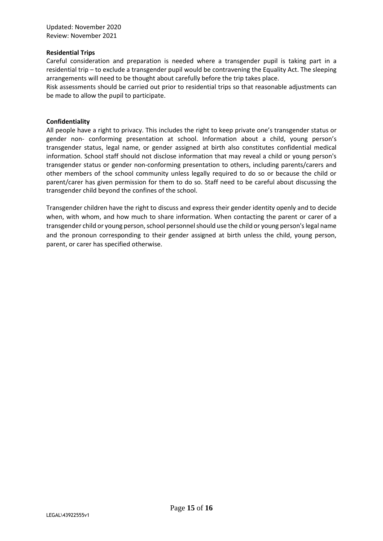#### **Residential Trips**

Careful consideration and preparation is needed where a transgender pupil is taking part in a residential trip – to exclude a transgender pupil would be contravening the Equality Act. The sleeping arrangements will need to be thought about carefully before the trip takes place.

Risk assessments should be carried out prior to residential trips so that reasonable adjustments can be made to allow the pupil to participate.

#### **Confidentiality**

All people have a right to privacy. This includes the right to keep private one's transgender status or gender non- conforming presentation at school. Information about a child, young person's transgender status, legal name, or gender assigned at birth also constitutes confidential medical information. School staff should not disclose information that may reveal a child or young person's transgender status or gender non-conforming presentation to others, including parents/carers and other members of the school community unless legally required to do so or because the child or parent/carer has given permission for them to do so. Staff need to be careful about discussing the transgender child beyond the confines of the school.

Transgender children have the right to discuss and express their gender identity openly and to decide when, with whom, and how much to share information. When contacting the parent or carer of a transgender child or young person, school personnel should use the child or young person's legal name and the pronoun corresponding to their gender assigned at birth unless the child, young person, parent, or carer has specified otherwise.